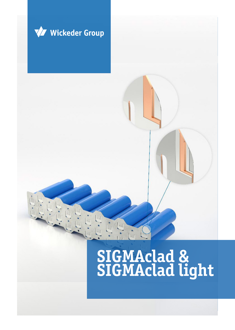

# **SIGMAclad & SIGMAclad light**